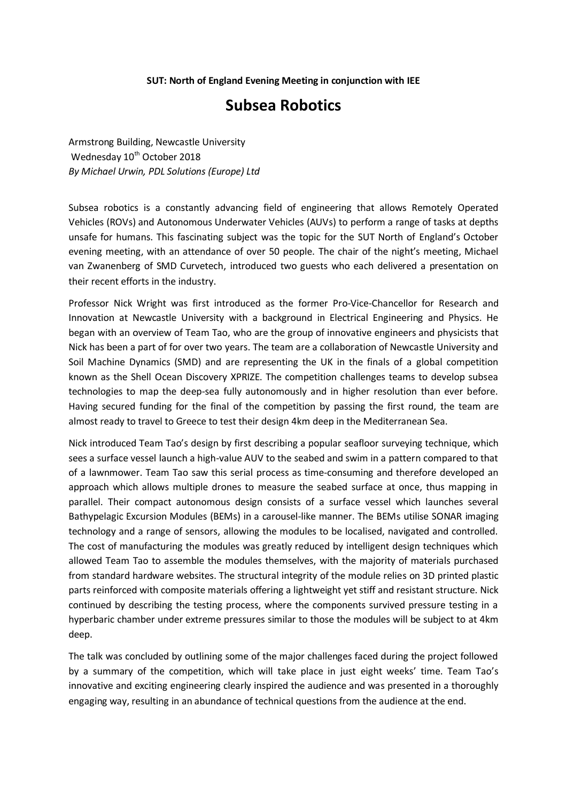## **SUT: North of England Evening Meeting in conjunction with IEE**

## **Subsea Robotics**

Armstrong Building, Newcastle University Wednesday 10<sup>th</sup> October 2018 *By Michael Urwin, PDL Solutions (Europe) Ltd*

Subsea robotics is a constantly advancing field of engineering that allows Remotely Operated Vehicles (ROVs) and Autonomous Underwater Vehicles (AUVs) to perform a range of tasks at depths unsafe for humans. This fascinating subject was the topic for the SUT North of England's October evening meeting, with an attendance of over 50 people. The chair of the night's meeting, Michael van Zwanenberg of SMD Curvetech, introduced two guests who each delivered a presentation on their recent efforts in the industry.

Professor Nick Wright was first introduced as the former Pro-Vice-Chancellor for Research and Innovation at Newcastle University with a background in Electrical Engineering and Physics. He began with an overview of Team Tao, who are the group of innovative engineers and physicists that Nick has been a part of for over two years. The team are a collaboration of Newcastle University and Soil Machine Dynamics (SMD) and are representing the UK in the finals of a global competition known as the Shell Ocean Discovery XPRIZE. The competition challenges teams to develop subsea technologies to map the deep-sea fully autonomously and in higher resolution than ever before. Having secured funding for the final of the competition by passing the first round, the team are almost ready to travel to Greece to test their design 4km deep in the Mediterranean Sea.

Nick introduced Team Tao's design by first describing a popular seafloor surveying technique, which sees a surface vessel launch a high-value AUV to the seabed and swim in a pattern compared to that of a lawnmower. Team Tao saw this serial process as time-consuming and therefore developed an approach which allows multiple drones to measure the seabed surface at once, thus mapping in parallel. Their compact autonomous design consists of a surface vessel which launches several Bathypelagic Excursion Modules (BEMs) in a carousel-like manner. The BEMs utilise SONAR imaging technology and a range of sensors, allowing the modules to be localised, navigated and controlled. The cost of manufacturing the modules was greatly reduced by intelligent design techniques which allowed Team Tao to assemble the modules themselves, with the majority of materials purchased from standard hardware websites. The structural integrity of the module relies on 3D printed plastic parts reinforced with composite materials offering a lightweight yet stiff and resistant structure. Nick continued by describing the testing process, where the components survived pressure testing in a hyperbaric chamber under extreme pressures similar to those the modules will be subject to at 4km deep.

The talk was concluded by outlining some of the major challenges faced during the project followed by a summary of the competition, which will take place in just eight weeks' time. Team Tao's innovative and exciting engineering clearly inspired the audience and was presented in a thoroughly engaging way, resulting in an abundance of technical questions from the audience at the end.